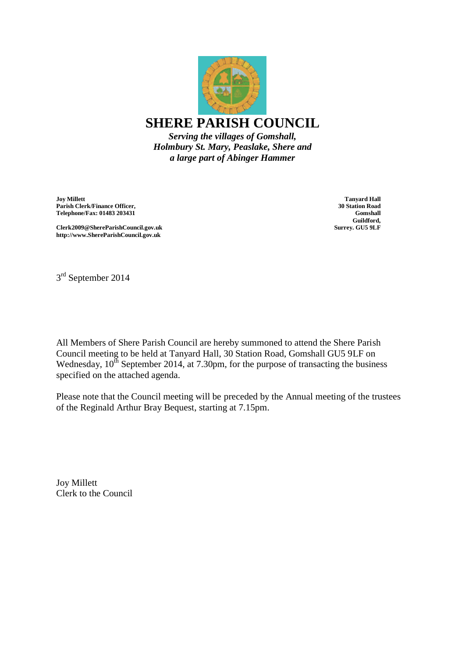

*Holmbury St. Mary, Peaslake, Shere and a large part of Abinger Hammer*

**Joy Millett Parish Clerk/Finance Officer, Telephone/Fax: 01483 203431**

**Tanyard Hall 30 Station Road Gomshall Guildford, Surrey. GU5 9LF**

**Clerk2009@ShereParishCouncil.gov.uk http://www.ShereParishCouncil.gov.uk**

3<sup>rd</sup> September 2014

All Members of Shere Parish Council are hereby summoned to attend the Shere Parish Council meeting to be held at Tanyard Hall, 30 Station Road, Gomshall GU5 9LF on Wednesday,  $10^{th}$  September 2014, at 7.30pm, for the purpose of transacting the business specified on the attached agenda.

Please note that the Council meeting will be preceded by the Annual meeting of the trustees of the Reginald Arthur Bray Bequest, starting at 7.15pm.

Joy Millett Clerk to the Council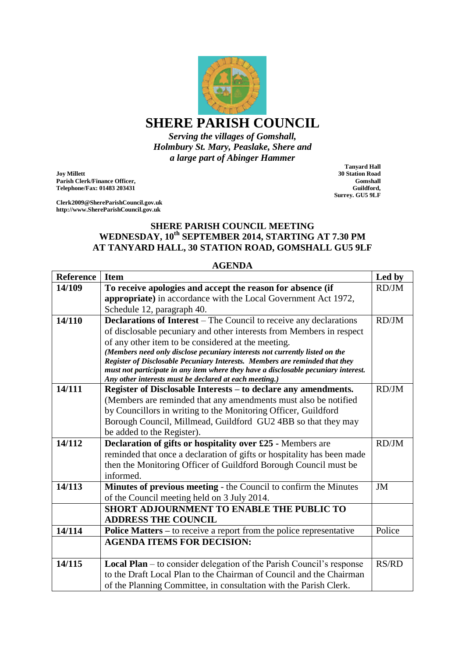

## **SHERE PARISH COUNCIL**

*Serving the villages of Gomshall, Holmbury St. Mary, Peaslake, Shere and a large part of Abinger Hammer*

**Joy Millett Parish Clerk/Finance Officer, Telephone/Fax: 01483 203431**

**Clerk2009@ShereParishCouncil.gov.uk http://www.ShereParishCouncil.gov.uk**

**Tanyard Hall 30 Station Road Gomshall Guildford, Surrey. GU5 9LF**

## **SHERE PARISH COUNCIL MEETING WEDNESDAY, 10th SEPTEMBER 2014, STARTING AT 7.30 PM AT TANYARD HALL, 30 STATION ROAD, GOMSHALL GU5 9LF**

| <b>Reference</b> | <b>Item</b>                                                                        | Led by       |
|------------------|------------------------------------------------------------------------------------|--------------|
| 14/109           | To receive apologies and accept the reason for absence (if                         | RD/JM        |
|                  | appropriate) in accordance with the Local Government Act 1972,                     |              |
|                  | Schedule 12, paragraph 40.                                                         |              |
| 14/110           | Declarations of Interest - The Council to receive any declarations                 | RD/JM        |
|                  | of disclosable pecuniary and other interests from Members in respect               |              |
|                  | of any other item to be considered at the meeting.                                 |              |
|                  | (Members need only disclose pecuniary interests not currently listed on the        |              |
|                  | Register of Disclosable Pecuniary Interests. Members are reminded that they        |              |
|                  | must not participate in any item where they have a disclosable pecuniary interest. |              |
|                  | Any other interests must be declared at each meeting.)                             |              |
| 14/111           | Register of Disclosable Interests – to declare any amendments.                     | RD/JM        |
|                  | (Members are reminded that any amendments must also be notified                    |              |
|                  | by Councillors in writing to the Monitoring Officer, Guildford                     |              |
|                  | Borough Council, Millmead, Guildford GU2 4BB so that they may                      |              |
|                  | be added to the Register).                                                         |              |
| 14/112           | Declaration of gifts or hospitality over £25 - Members are                         | RD/JM        |
|                  | reminded that once a declaration of gifts or hospitality has been made             |              |
|                  | then the Monitoring Officer of Guildford Borough Council must be                   |              |
|                  | informed.                                                                          |              |
| 14/113           | Minutes of previous meeting - the Council to confirm the Minutes                   | <b>JM</b>    |
|                  | of the Council meeting held on 3 July 2014.                                        |              |
|                  | SHORT ADJOURNMENT TO ENABLE THE PUBLIC TO                                          |              |
|                  | <b>ADDRESS THE COUNCIL</b>                                                         |              |
| 14/114           | <b>Police Matters – to receive a report from the police representative</b>         | Police       |
|                  | <b>AGENDA ITEMS FOR DECISION:</b>                                                  |              |
|                  |                                                                                    |              |
| 14/115           | <b>Local Plan</b> – to consider delegation of the Parish Council's response        | <b>RS/RD</b> |
|                  | to the Draft Local Plan to the Chairman of Council and the Chairman                |              |
|                  | of the Planning Committee, in consultation with the Parish Clerk.                  |              |

## **AGENDA**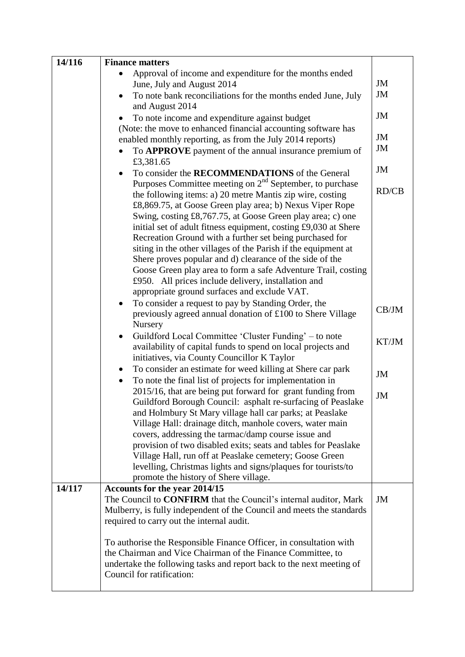| 14/116 | <b>Finance matters</b>                                                                                                                                                                                                                                                                                                                                                                                                                                                                                                                                                                                                                                                                 |                 |
|--------|----------------------------------------------------------------------------------------------------------------------------------------------------------------------------------------------------------------------------------------------------------------------------------------------------------------------------------------------------------------------------------------------------------------------------------------------------------------------------------------------------------------------------------------------------------------------------------------------------------------------------------------------------------------------------------------|-----------------|
|        | Approval of income and expenditure for the months ended<br>June, July and August 2014<br>To note bank reconciliations for the months ended June, July<br>$\bullet$<br>and August 2014<br>To note income and expenditure against budget                                                                                                                                                                                                                                                                                                                                                                                                                                                 | JM<br>JM<br>JM  |
|        | (Note: the move to enhanced financial accounting software has<br>enabled monthly reporting, as from the July 2014 reports)<br>To <b>APPROVE</b> payment of the annual insurance premium of                                                                                                                                                                                                                                                                                                                                                                                                                                                                                             | JM<br><b>JM</b> |
|        | £3,381.65<br>To consider the RECOMMENDATIONS of the General                                                                                                                                                                                                                                                                                                                                                                                                                                                                                                                                                                                                                            | JM              |
|        | Purposes Committee meeting on $2nd$ September, to purchase<br>the following items: a) 20 metre Mantis zip wire, costing<br>£8,869.75, at Goose Green play area; b) Nexus Viper Rope<br>Swing, costing £8,767.75, at Goose Green play area; c) one<br>initial set of adult fitness equipment, costing £9,030 at Shere<br>Recreation Ground with a further set being purchased for<br>siting in the other villages of the Parish if the equipment at<br>Shere proves popular and d) clearance of the side of the<br>Goose Green play area to form a safe Adventure Trail, costing<br>£950. All prices include delivery, installation and<br>appropriate ground surfaces and exclude VAT. | RD/CB           |
|        | To consider a request to pay by Standing Order, the<br>previously agreed annual donation of £100 to Shere Village<br>Nursery                                                                                                                                                                                                                                                                                                                                                                                                                                                                                                                                                           | CB/JM           |
|        | Guildford Local Committee 'Cluster Funding' – to note<br>$\bullet$<br>availability of capital funds to spend on local projects and<br>initiatives, via County Councillor K Taylor                                                                                                                                                                                                                                                                                                                                                                                                                                                                                                      | KT/JM           |
|        | To consider an estimate for weed killing at Shere car park<br>$\bullet$<br>To note the final list of projects for implementation in<br>$\bullet$                                                                                                                                                                                                                                                                                                                                                                                                                                                                                                                                       | JM              |
|        | 2015/16, that are being put forward for grant funding from<br>Guildford Borough Council: asphalt re-surfacing of Peaslake<br>and Holmbury St Mary village hall car parks; at Peaslake<br>Village Hall: drainage ditch, manhole covers, water main                                                                                                                                                                                                                                                                                                                                                                                                                                      | JM              |
|        | covers, addressing the tarmac/damp course issue and<br>provision of two disabled exits; seats and tables for Peaslake<br>Village Hall, run off at Peaslake cemetery; Goose Green<br>levelling, Christmas lights and signs/plaques for tourists/to<br>promote the history of Shere village.                                                                                                                                                                                                                                                                                                                                                                                             |                 |
| 14/117 | Accounts for the year 2014/15<br>The Council to <b>CONFIRM</b> that the Council's internal auditor, Mark<br>Mulberry, is fully independent of the Council and meets the standards<br>required to carry out the internal audit.                                                                                                                                                                                                                                                                                                                                                                                                                                                         | JM              |
|        | To authorise the Responsible Finance Officer, in consultation with<br>the Chairman and Vice Chairman of the Finance Committee, to<br>undertake the following tasks and report back to the next meeting of<br>Council for ratification:                                                                                                                                                                                                                                                                                                                                                                                                                                                 |                 |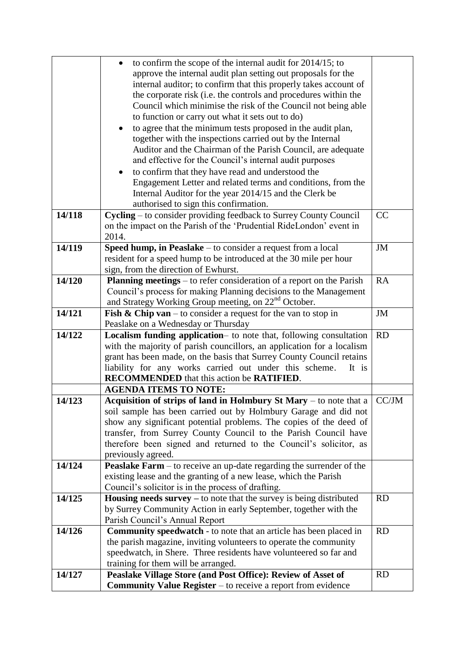|                     | to confirm the scope of the internal audit for 2014/15; to                   |           |
|---------------------|------------------------------------------------------------------------------|-----------|
|                     | approve the internal audit plan setting out proposals for the                |           |
|                     | internal auditor; to confirm that this properly takes account of             |           |
|                     | the corporate risk (i.e. the controls and procedures within the              |           |
|                     | Council which minimise the risk of the Council not being able                |           |
|                     | to function or carry out what it sets out to do)                             |           |
|                     | to agree that the minimum tests proposed in the audit plan,<br>$\bullet$     |           |
|                     | together with the inspections carried out by the Internal                    |           |
|                     | Auditor and the Chairman of the Parish Council, are adequate                 |           |
|                     | and effective for the Council's internal audit purposes                      |           |
|                     | to confirm that they have read and understood the                            |           |
|                     | Engagement Letter and related terms and conditions, from the                 |           |
|                     | Internal Auditor for the year 2014/15 and the Clerk be                       |           |
|                     | authorised to sign this confirmation.                                        |           |
| 14/118              | Cycling – to consider providing feedback to Surrey County Council            | CC        |
|                     | on the impact on the Parish of the 'Prudential RideLondon' event in          |           |
|                     | 2014.                                                                        |           |
| 14/119              | Speed hump, in Peaslake - to consider a request from a local                 | JM        |
|                     | resident for a speed hump to be introduced at the 30 mile per hour           |           |
|                     | sign, from the direction of Ewhurst.                                         |           |
| 14/120              | Planning meetings – to refer consideration of a report on the Parish         | <b>RA</b> |
|                     | Council's process for making Planning decisions to the Management            |           |
|                     | and Strategy Working Group meeting, on 22 <sup>nd</sup> October.             |           |
| $14/\overline{121}$ | <b>Fish &amp; Chip van</b> – to consider a request for the van to stop in    | JM        |
|                     | Peaslake on a Wednesday or Thursday                                          |           |
| 14/122              | Localism funding application- to note that, following consultation           | <b>RD</b> |
|                     | with the majority of parish councillors, an application for a localism       |           |
|                     | grant has been made, on the basis that Surrey County Council retains         |           |
|                     | liability for any works carried out under this scheme.<br>It is              |           |
|                     | RECOMMENDED that this action be RATIFIED.                                    |           |
|                     | <b>AGENDA ITEMS TO NOTE:</b>                                                 |           |
| 14/123              | Acquisition of strips of land in Holmbury St Mary – to note that a           | CC/JM     |
|                     | soil sample has been carried out by Holmbury Garage and did not              |           |
|                     | show any significant potential problems. The copies of the deed of           |           |
|                     | transfer, from Surrey County Council to the Parish Council have              |           |
|                     | therefore been signed and returned to the Council's solicitor, as            |           |
|                     | previously agreed.                                                           |           |
| 14/124              | <b>Peaslake Farm</b> – to receive an up-date regarding the surrender of the  |           |
|                     | existing lease and the granting of a new lease, which the Parish             |           |
|                     | Council's solicitor is in the process of drafting.                           |           |
| 14/125              | <b>Housing needs survey</b> $-$ to note that the survey is being distributed | <b>RD</b> |
|                     | by Surrey Community Action in early September, together with the             |           |
|                     | Parish Council's Annual Report                                               |           |
| 14/126              | <b>Community speedwatch</b> - to note that an article has been placed in     | <b>RD</b> |
|                     | the parish magazine, inviting volunteers to operate the community            |           |
|                     | speedwatch, in Shere. Three residents have volunteered so far and            |           |
|                     | training for them will be arranged.                                          |           |
| 14/127              | Peaslake Village Store (and Post Office): Review of Asset of                 | <b>RD</b> |
|                     | <b>Community Value Register</b> – to receive a report from evidence          |           |